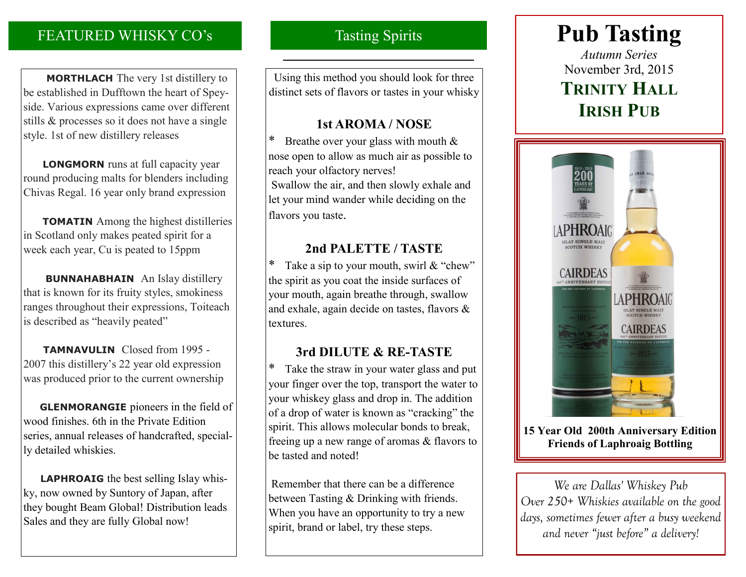# FEATURED WHISKY CO's

 **MORTHLACH** The very 1st distillery to be established in Dufftown the heart of Speyside. Various expressions came over different stills & processes so it does not have a single style. 1st of new distillery releases

 **LONGMORN** runs at full capacity year round producing malts for blenders including Chivas Regal. 16 year only brand expression

 **TOMATIN** Among the highest distilleries in Scotland only makes peated spirit for a week each year, Cu is peated to 15ppm

 **BUNNAHABHAIN** An Islay distillery that is known for its fruity styles, smokiness ranges throughout their expressions, Toiteach is described as "heavily peated"

 **TAMNAVULIN** Closed from 1995 - 2007 this distillery's 22 year old expression was produced prior to the current ownership

 **GLENMORANGIE** pioneers in the field of wood finishes. 6th in the Private Edition series, annual releases of handcrafted, specially detailed whiskies.

 **LAPHROAIG** the best selling Islay whisky, now owned by Suntory of Japan, after they bought Beam Global! Distribution leads Sales and they are fully Global now!

## Tasting Spirits

Using this method you should look for three distinct sets of flavors or tastes in your whisky

### **1st AROMA / NOSE**

\* Breathe over your glass with mouth & nose open to allow as much air as possible to reach your olfactory nerves! Swallow the air, and then slowly exhale and let your mind wander while deciding on the flavors you taste.

## **2nd PALETTE / TASTE**

\* Take a sip to your mouth, swirl  $&$  "chew" the spirit as you coat the inside surfaces of your mouth, again breathe through, swallow and exhale, again decide on tastes, flavors & textures.

## **3rd DILUTE & RE-TASTE**

Take the straw in your water glass and put your finger over the top, transport the water to your whiskey glass and drop in. The addition of a drop of water is known as "cracking" the spirit. This allows molecular bonds to break, freeing up a new range of aromas & flavors to be tasted and noted!

Remember that there can be a difference between Tasting & Drinking with friends. When you have an opportunity to try a new spirit, brand or label, try these steps.

# **Pub Tasting**

*Autumn Series* November 3rd, 2015 **TRINITY HALL IRISH PUB**



**15 Year Old 200th Anniversary Edition Friends of Laphroaig Bottling**

*We are Dallas' Whiskey Pub Over 250+ Whiskies available on the good days, sometimes fewer after a busy weekend and never "just before" a delivery!*